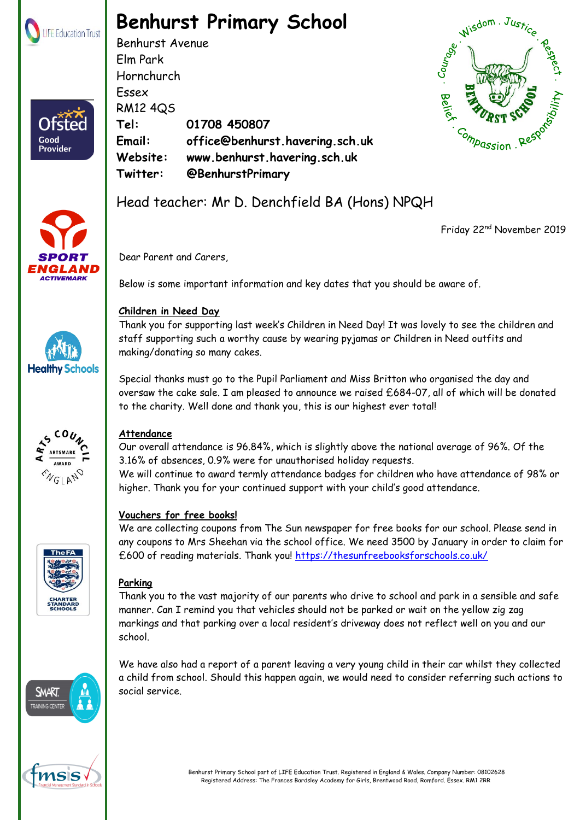

# **Benhurst Primary School**

Benhurst Avenue Elm Park Hornchurch Essex RM12 4QS **Tel: 01708 450807 Email: office@benhurst.havering.sch.uk Website: www.benhurst.havering.sch.uk Twitter: @BenhurstPrimary**





Good **Provider** 





Friday 22nd November 2019

Dear Parent and Carers,

Below is some important information and key dates that you should be aware of.

Thank you for supporting last week's Children in Need Day! It was lovely to see the children and staff supporting such a worthy cause by wearing pyjamas or Children in Need outfits and making/donating so many cakes.

Special thanks must go to the Pupil Parliament and Miss Britton who organised the day and oversaw the cake sale. I am pleased to announce we raised £684-07, all of which will be donated to the charity. Well done and thank you, this is our highest ever total!



## **Attendance**

Our overall attendance is 96.84%, which is slightly above the national average of 96%. Of the 3.16% of absences, 0.9% were for unauthorised holiday requests. We will continue to award termly attendance badges for children who have attendance of 98% or

higher. Thank you for your continued support with your child's good attendance.

## **Vouchers for free books!**

We are collecting coupons from The Sun newspaper for free books for our school. Please send in any coupons to Mrs Sheehan via the school office. We need 3500 by January in order to claim for £600 of reading materials. Thank you!<https://thesunfreebooksforschools.co.uk/>

## **Parking**

Thank you to the vast majority of our parents who drive to school and park in a sensible and safe manner. Can I remind you that vehicles should not be parked or wait on the yellow zig zag markings and that parking over a local resident's driveway does not reflect well on you and our school.

We have also had a report of a parent leaving a very young child in their car whilst they collected a child from school. Should this happen again, we would need to consider referring such actions to social service.





**Children in Need Day** 

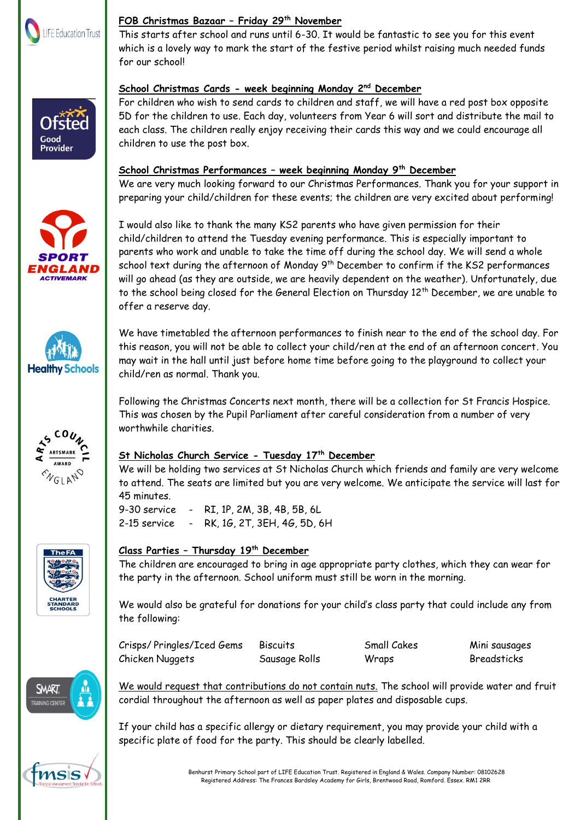

Ofste Good **Provider** 

#### **FOB Christmas Bazaar – Friday 29th November**

This starts after school and runs until 6-30. It would be fantastic to see you for this event which is a lovely way to mark the start of the festive period whilst raising much needed funds for our school!

## **School Christmas Cards - week beginning Monday 2nd December**

For children who wish to send cards to children and staff, we will have a red post box opposite 5D for the children to use. Each day, volunteers from Year 6 will sort and distribute the mail to each class. The children really enjoy receiving their cards this way and we could encourage all children to use the post box.

### **School Christmas Performances – week beginning Monday 9th December**

We are very much looking forward to our Christmas Performances. Thank you for your support in preparing your child/children for these events; the children are very excited about performing!

I would also like to thank the many KS2 parents who have given permission for their child/children to attend the Tuesday evening performance. This is especially important to parents who work and unable to take the time off during the school day. We will send a whole school text during the afternoon of Monday 9<sup>th</sup> December to confirm if the KS2 performances will go ahead (as they are outside, we are heavily dependent on the weather). Unfortunately, due to the school being closed for the General Election on Thursday 12<sup>th</sup> December, we are unable to offer a reserve day.

We have timetabled the afternoon performances to finish near to the end of the school day. For this reason, you will not be able to collect your child/ren at the end of an afternoon concert. You may wait in the hall until just before home time before going to the playground to collect your child/ren as normal. Thank you.

Following the Christmas Concerts next month, there will be a collection for St Francis Hospice. This was chosen by the Pupil Parliament after careful consideration from a number of very worthwhile charities.

## **St Nicholas Church Service - Tuesday 17th December**

We will be holding two services at St Nicholas Church which friends and family are very welcome to attend. The seats are limited but you are very welcome. We anticipate the service will last for 45 minutes.

9-30 service - RI, 1P, 2M, 3B, 4B, 5B, 6L 2-15 service - RK, 1G, 2T, 3EH, 4G, 5D, 6H

## **Class Parties – Thursday 19th December**

The children are encouraged to bring in age appropriate party clothes, which they can wear for the party in the afternoon. School uniform must still be worn in the morning.

We would also be grateful for donations for your child's class party that could include any from the following:

Crisps/ Pringles/Iced Gems Biscuits Small Cakes Mini sausages Chicken Nuggets Sausage Rolls Wraps Breadsticks

We would request that contributions do not contain nuts. The school will provide water and fruit cordial throughout the afternoon as well as paper plates and disposable cups.

If your child has a specific allergy or dietary requirement, you may provide your child with a specific plate of food for the party. This should be clearly labelled.









**SMART**